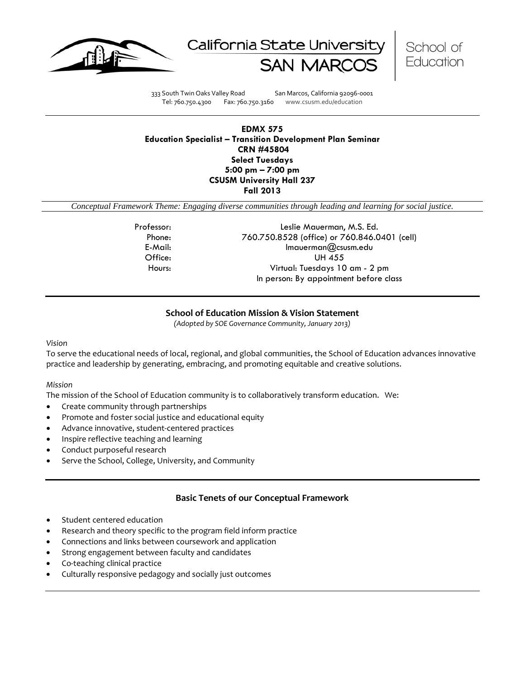





333 South Twin Oaks Valley Road San Marcos, California 92096-0001 Tel: 760.750.4300 Fax: 760.750.3160 www.csusm.edu/education

### **EDMX 575 Education Specialist – Transition Development Plan Seminar CRN #45804 Select Tuesdays 5:00 pm – 7:00 pm CSUSM University Hall 237 Fall 2013**

*Conceptual Framework Theme: Engaging diverse communities through leading and learning for social justice.*

Professor: Leslie Mauerman, M.S. Ed. Phone: 760.750.8528 (office) or 760.846.0401 (cell) E-Mail: lmauerman@csusm.edu Office: UH 455 Hours: Virtual: Tuesdays 10 am - 2 pm In person: By appointment before class

## **School of Education Mission & Vision Statement**

*(Adopted by SOE Governance Community, January 2013)*

#### *Vision*

To serve the educational needs of local, regional, and global communities, the School of Education advances innovative practice and leadership by generating, embracing, and promoting equitable and creative solutions.

#### *Mission*

The mission of the School of Education community is to collaboratively transform education. We:

- Create community through partnerships
- Promote and foster social justice and educational equity
- Advance innovative, student-centered practices
- Inspire reflective teaching and learning
- Conduct purposeful research
- Serve the School, College, University, and Community

#### **Basic Tenets of our Conceptual Framework**

- Student centered education
- Research and theory specific to the program field inform practice
- Connections and links between coursework and application
- Strong engagement between faculty and candidates
- Co-teaching clinical practice
- Culturally responsive pedagogy and socially just outcomes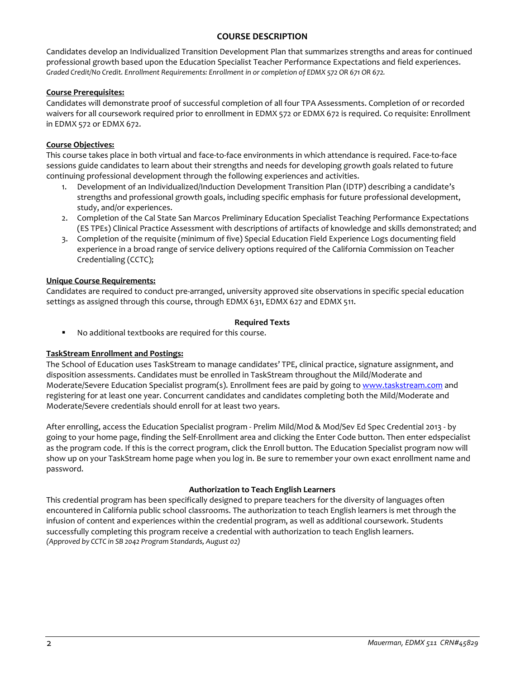## **COURSE DESCRIPTION**

Candidates develop an Individualized Transition Development Plan that summarizes strengths and areas for continued professional growth based upon the Education Specialist Teacher Performance Expectations and field experiences. *Graded Credit/No Credit. Enrollment Requirements: Enrollment in or completion of EDMX 572 OR 671 OR 672.* 

### **Course Prerequisites:**

Candidates will demonstrate proof of successful completion of all four TPA Assessments. Completion of or recorded waivers for all coursework required prior to enrollment in EDMX 572 or EDMX 672 is required. Co requisite: Enrollment in EDMX 572 or EDMX 672.

### **Course Objectives:**

This course takes place in both virtual and face-to-face environments in which attendance is required. Face-to-face sessions guide candidates to learn about their strengths and needs for developing growth goals related to future continuing professional development through the following experiences and activities.

- 1. Development of an Individualized/Induction Development Transition Plan (IDTP) describing a candidate's strengths and professional growth goals, including specific emphasis for future professional development, study, and/or experiences.
- 2. Completion of the Cal State San Marcos Preliminary Education Specialist Teaching Performance Expectations (ES TPEs) Clinical Practice Assessment with descriptions of artifacts of knowledge and skills demonstrated; and
- 3. Completion of the requisite (minimum of five) Special Education Field Experience Logs documenting field experience in a broad range of service delivery options required of the California Commission on Teacher Credentialing (CCTC);

### **Unique Course Requirements:**

Candidates are required to conduct pre-arranged, university approved site observations in specific special education settings as assigned through this course, through EDMX 631, EDMX 627 and EDMX 511.

### **Required Texts**

No additional textbooks are required for this course.

#### **TaskStream Enrollment and Postings:**

The School of Education uses TaskStream to manage candidates' TPE, clinical practice, signature assignment, and disposition assessments. Candidates must be enrolled in TaskStream throughout the Mild/Moderate and Moderate/Severe Education Specialist program(s). Enrollment fees are paid by going to [www.taskstream.com](https://bl2prd0510.outlook.com/owa/redir.aspx?C=BCCRQqSYiUGfF8D5o1hWda_4K252ddAIWfHJ-9hEDukuBafQrA7uFT9QzjT3BGXTnuKNALZtCyo.&URL=http%3a%2f%2fwww.taskstrem.com%2f) and registering for at least one year. Concurrent candidates and candidates completing both the Mild/Moderate and Moderate/Severe credentials should enroll for at least two years.

After enrolling, access the Education Specialist program - Prelim Mild/Mod & Mod/Sev Ed Spec Credential 2013 - by going to your home page, finding the Self-Enrollment area and clicking the Enter Code button. Then enter edspecialist as the program code. If this is the correct program, click the Enroll button. The Education Specialist program now will show up on your TaskStream home page when you log in. Be sure to remember your own exact enrollment name and password.

#### **Authorization to Teach English Learners**

This credential program has been specifically designed to prepare teachers for the diversity of languages often encountered in California public school classrooms. The authorization to teach English learners is met through the infusion of content and experiences within the credential program, as well as additional coursework. Students successfully completing this program receive a credential with authorization to teach English learners. *(Approved by CCTC in SB 2042 Program Standards, August 02)*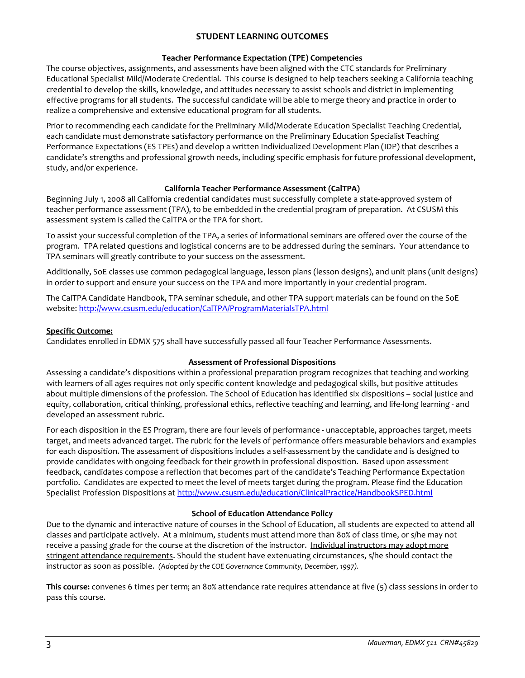## **STUDENT LEARNING OUTCOMES**

## **Teacher Performance Expectation (TPE) Competencies**

The course objectives, assignments, and assessments have been aligned with the CTC standards for Preliminary Educational Specialist Mild/Moderate Credential. This course is designed to help teachers seeking a California teaching credential to develop the skills, knowledge, and attitudes necessary to assist schools and district in implementing effective programs for all students. The successful candidate will be able to merge theory and practice in order to realize a comprehensive and extensive educational program for all students.

Prior to recommending each candidate for the Preliminary Mild/Moderate Education Specialist Teaching Credential, each candidate must demonstrate satisfactory performance on the Preliminary Education Specialist Teaching Performance Expectations (ES TPEs) and develop a written Individualized Development Plan (IDP) that describes a candidate's strengths and professional growth needs, including specific emphasis for future professional development, study, and/or experience.

## **California Teacher Performance Assessment (CalTPA)**

Beginning July 1, 2008 all California credential candidates must successfully complete a state-approved system of teacher performance assessment (TPA), to be embedded in the credential program of preparation. At CSUSM this assessment system is called the CalTPA or the TPA for short.

To assist your successful completion of the TPA, a series of informational seminars are offered over the course of the program. TPA related questions and logistical concerns are to be addressed during the seminars. Your attendance to TPA seminars will greatly contribute to your success on the assessment.

Additionally, SoE classes use common pedagogical language, lesson plans (lesson designs), and unit plans (unit designs) in order to support and ensure your success on the TPA and more importantly in your credential program.

The CalTPA Candidate Handbook, TPA seminar schedule, and other TPA support materials can be found on the SoE website[: http://www.csusm.edu/education/CalTPA/ProgramMaterialsTPA.html](http://www.csusm.edu/education/CalTPA/ProgramMaterialsTPA.html)

## **Specific Outcome:**

Candidates enrolled in EDMX 575 shall have successfully passed all four Teacher Performance Assessments.

## **Assessment of Professional Dispositions**

Assessing a candidate's dispositions within a professional preparation program recognizes that teaching and working with learners of all ages requires not only specific content knowledge and pedagogical skills, but positive attitudes about multiple dimensions of the profession. The School of Education has identified six dispositions – social justice and equity, collaboration, critical thinking, professional ethics, reflective teaching and learning, and life-long learning - and developed an assessment rubric.

For each disposition in the ES Program, there are four levels of performance - unacceptable, approaches target, meets target, and meets advanced target. The rubric for the levels of performance offers measurable behaviors and examples for each disposition. The assessment of dispositions includes a self-assessment by the candidate and is designed to provide candidates with ongoing feedback for their growth in professional disposition. Based upon assessment feedback, candidates compose a reflection that becomes part of the candidate's Teaching Performance Expectation portfolio. Candidates are expected to meet the level of meets target during the program. Please find the Education Specialist Profession Dispositions at [http://www.csusm.edu/education/ClinicalPractice/HandbookSPED.html](https://bl2prd0510.outlook.com/owa/redir.aspx?C=BCCRQqSYiUGfF8D5o1hWda_4K252ddAIWfHJ-9hEDukuBafQrA7uFT9QzjT3BGXTnuKNALZtCyo.&URL=http%3a%2f%2fwww.csusm.edu%2feducation%2fClinicalPractice%2fHandbookSPED.html)

## **School of Education Attendance Policy**

Due to the dynamic and interactive nature of courses in the School of Education, all students are expected to attend all classes and participate actively. At a minimum, students must attend more than 80% of class time, or s/he may not receive a passing grade for the course at the discretion of the instructor. Individual instructors may adopt more stringent attendance requirements. Should the student have extenuating circumstances, s/he should contact the instructor as soon as possible. *(Adopted by the COE Governance Community, December, 1997).*

**This course:** convenes 6 times per term; an 80% attendance rate requires attendance at five (5) class sessions in order to pass this course.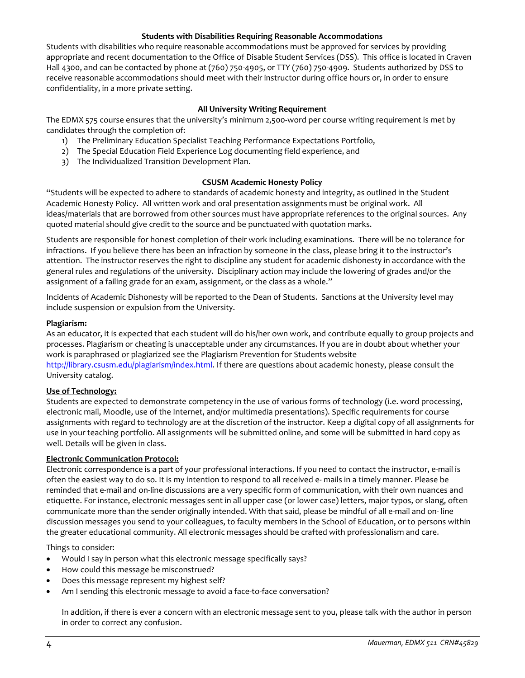#### **Students with Disabilities Requiring Reasonable Accommodations**

Students with disabilities who require reasonable accommodations must be approved for services by providing appropriate and recent documentation to the Office of Disable Student Services (DSS). This office is located in Craven Hall 4300, and can be contacted by phone at (760) 750-4905, or TTY (760) 750-4909. Students authorized by DSS to receive reasonable accommodations should meet with their instructor during office hours or, in order to ensure confidentiality, in a more private setting.

### **All University Writing Requirement**

The EDMX 575 course ensures that the university's minimum 2,500-word per course writing requirement is met by candidates through the completion of:

- 1) The Preliminary Education Specialist Teaching Performance Expectations Portfolio,
- 2) The Special Education Field Experience Log documenting field experience, and
- 3) The Individualized Transition Development Plan.

### **CSUSM Academic Honesty Policy**

"Students will be expected to adhere to standards of academic honesty and integrity, as outlined in the Student Academic Honesty Policy. All written work and oral presentation assignments must be original work. All ideas/materials that are borrowed from other sources must have appropriate references to the original sources. Any quoted material should give credit to the source and be punctuated with quotation marks.

Students are responsible for honest completion of their work including examinations. There will be no tolerance for infractions. If you believe there has been an infraction by someone in the class, please bring it to the instructor's attention. The instructor reserves the right to discipline any student for academic dishonesty in accordance with the general rules and regulations of the university. Disciplinary action may include the lowering of grades and/or the assignment of a failing grade for an exam, assignment, or the class as a whole."

Incidents of Academic Dishonesty will be reported to the Dean of Students. Sanctions at the University level may include suspension or expulsion from the University.

#### **Plagiarism:**

As an educator, it is expected that each student will do his/her own work, and contribute equally to group projects and processes. Plagiarism or cheating is unacceptable under any circumstances. If you are in doubt about whether your work is paraphrased or plagiarized see the Plagiarism Prevention for Students website http://library.csusm.edu/plagiarism/index.html. If there are questions about academic honesty, please consult the University catalog.

## **Use of Technology:**

Students are expected to demonstrate competency in the use of various forms of technology (i.e. word processing, electronic mail, Moodle, use of the Internet, and/or multimedia presentations). Specific requirements for course assignments with regard to technology are at the discretion of the instructor. Keep a digital copy of all assignments for use in your teaching portfolio. All assignments will be submitted online, and some will be submitted in hard copy as well. Details will be given in class.

## **Electronic Communication Protocol:**

Electronic correspondence is a part of your professional interactions. If you need to contact the instructor, e-mail is often the easiest way to do so. It is my intention to respond to all received e- mails in a timely manner. Please be reminded that e-mail and on-line discussions are a very specific form of communication, with their own nuances and etiquette. For instance, electronic messages sent in all upper case (or lower case) letters, major typos, or slang, often communicate more than the sender originally intended. With that said, please be mindful of all e-mail and on- line discussion messages you send to your colleagues, to faculty members in the School of Education, or to persons within the greater educational community. All electronic messages should be crafted with professionalism and care.

Things to consider:

- Would I say in person what this electronic message specifically says?
- How could this message be misconstrued?
- Does this message represent my highest self?
- Am I sending this electronic message to avoid a face-to-face conversation?

In addition, if there is ever a concern with an electronic message sent to you, please talk with the author in person in order to correct any confusion.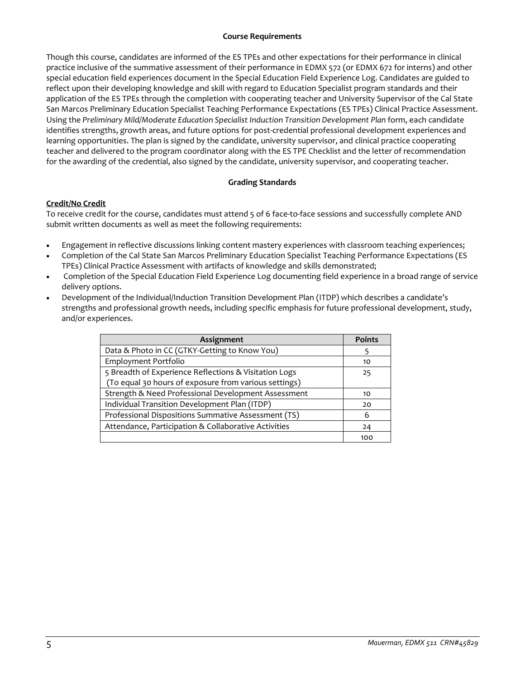### **Course Requirements**

Though this course, candidates are informed of the ES TPEs and other expectations for their performance in clinical practice inclusive of the summative assessment of their performance in EDMX 572 (or EDMX 672 for interns) and other special education field experiences document in the Special Education Field Experience Log. Candidates are guided to reflect upon their developing knowledge and skill with regard to Education Specialist program standards and their application of the ES TPEs through the completion with cooperating teacher and University Supervisor of the Cal State San Marcos Preliminary Education Specialist Teaching Performance Expectations (ES TPEs) Clinical Practice Assessment. Using the *Preliminary Mild/Moderate Education Specialist Induction Transition Development Plan* form, each candidate identifies strengths, growth areas, and future options for post-credential professional development experiences and learning opportunities. The plan is signed by the candidate, university supervisor, and clinical practice cooperating teacher and delivered to the program coordinator along with the ES TPE Checklist and the letter of recommendation for the awarding of the credential, also signed by the candidate, university supervisor, and cooperating teacher.

## **Grading Standards**

## **Credit/No Credit**

To receive credit for the course, candidates must attend 5 of 6 face-to-face sessions and successfully complete AND submit written documents as well as meet the following requirements:

- Engagement in reflective discussions linking content mastery experiences with classroom teaching experiences;
- Completion of the Cal State San Marcos Preliminary Education Specialist Teaching Performance Expectations (ES TPEs) Clinical Practice Assessment with artifacts of knowledge and skills demonstrated;
- Completion of the Special Education Field Experience Log documenting field experience in a broad range of service delivery options.
- Development of the Individual/Induction Transition Development Plan (ITDP) which describes a candidate's strengths and professional growth needs, including specific emphasis for future professional development, study, and/or experiences.

| <b>Assignment</b>                                     | <b>Points</b> |
|-------------------------------------------------------|---------------|
| Data & Photo in CC (GTKY-Getting to Know You)         |               |
| Employment Portfolio                                  | 10            |
| 5 Breadth of Experience Reflections & Visitation Logs | 25            |
| (To equal 30 hours of exposure from various settings) |               |
| Strength & Need Professional Development Assessment   | 10            |
| Individual Transition Development Plan (ITDP)         | 20            |
| Professional Dispositions Summative Assessment (TS)   | 6             |
| Attendance, Participation & Collaborative Activities  | 24            |
|                                                       | 100           |